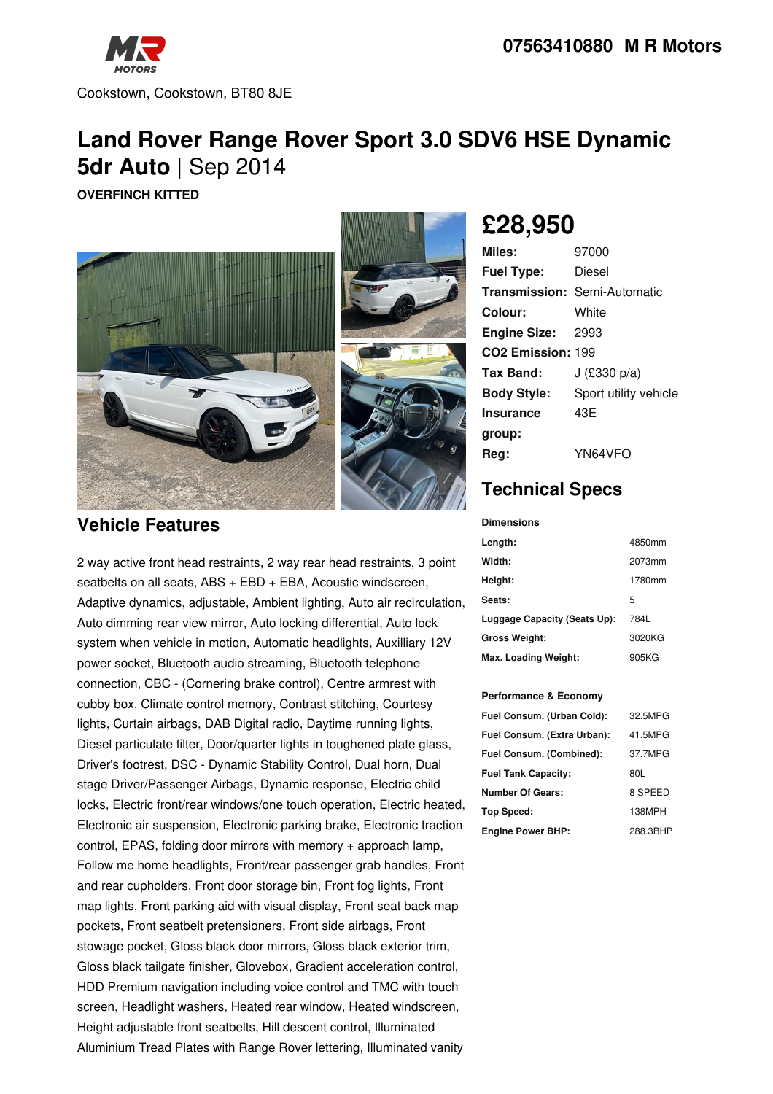

Cookstown, Cookstown, BT80 8JE

## **Land Rover Range Rover Sport 3.0 SDV6 HSE Dynamic 5dr Auto** | Sep 2014

**OVERFINCH KITTED**



### **Vehicle Features**

2 way active front head restraints, 2 way rear head restraints, 3 point seatbelts on all seats, ABS + EBD + EBA, Acoustic windscreen, Adaptive dynamics, adjustable, Ambient lighting, Auto air recirculation, Auto dimming rear view mirror, Auto locking differential, Auto lock system when vehicle in motion, Automatic headlights, Auxilliary 12V power socket, Bluetooth audio streaming, Bluetooth telephone connection, CBC - (Cornering brake control), Centre armrest with cubby box, Climate control memory, Contrast stitching, Courtesy lights, Curtain airbags, DAB Digital radio, Daytime running lights, Diesel particulate filter, Door/quarter lights in toughened plate glass, Driver's footrest, DSC - Dynamic Stability Control, Dual horn, Dual stage Driver/Passenger Airbags, Dynamic response, Electric child locks, Electric front/rear windows/one touch operation, Electric heated, Electronic air suspension, Electronic parking brake, Electronic traction control, EPAS, folding door mirrors with memory + approach lamp, Follow me home headlights, Front/rear passenger grab handles, Front and rear cupholders, Front door storage bin, Front fog lights, Front map lights, Front parking aid with visual display, Front seat back map pockets, Front seatbelt pretensioners, Front side airbags, Front stowage pocket, Gloss black door mirrors, Gloss black exterior trim, Gloss black tailgate finisher, Glovebox, Gradient acceleration control, HDD Premium navigation including voice control and TMC with touch screen, Headlight washers, Heated rear window, Heated windscreen, Height adjustable front seatbelts, Hill descent control, Illuminated Aluminium Tread Plates with Range Rover lettering, Illuminated vanity

# **£28,950**

| Miles:                        | 97000                               |
|-------------------------------|-------------------------------------|
| <b>Fuel Type:</b>             | Diesel                              |
|                               | <b>Transmission: Semi-Automatic</b> |
| Colour:                       | White                               |
| <b>Engine Size: 2993</b>      |                                     |
| CO <sub>2</sub> Emission: 199 |                                     |
| Tax Band:                     | J $(E330 p/a)$                      |
| <b>Body Style:</b>            | Sport utility vehicle               |
| <b>Insurance</b>              | 43E                                 |
| group:                        |                                     |
| Reg:                          | YN64VFO                             |

## **Technical Specs**

| <b>Dimensions</b>            |        |
|------------------------------|--------|
| Length:                      | 4850mm |
| Width:                       | 2073mm |
| Height:                      | 1780mm |
| Seats:                       | 5      |
| Luggage Capacity (Seats Up): | 784L   |
| <b>Gross Weight:</b>         | 3020KG |
| Max. Loading Weight:         | 905KG  |

#### **Performance & Economy**

| Fuel Consum. (Urban Cold):  | 32.5MPG  |
|-----------------------------|----------|
| Fuel Consum. (Extra Urban): | 41.5MPG  |
| Fuel Consum. (Combined):    | 37.7MPG  |
| <b>Fuel Tank Capacity:</b>  | 80L      |
| Number Of Gears:            | 8 SPEED  |
| Top Speed:                  | 138MPH   |
| <b>Engine Power BHP:</b>    | 288.3BHP |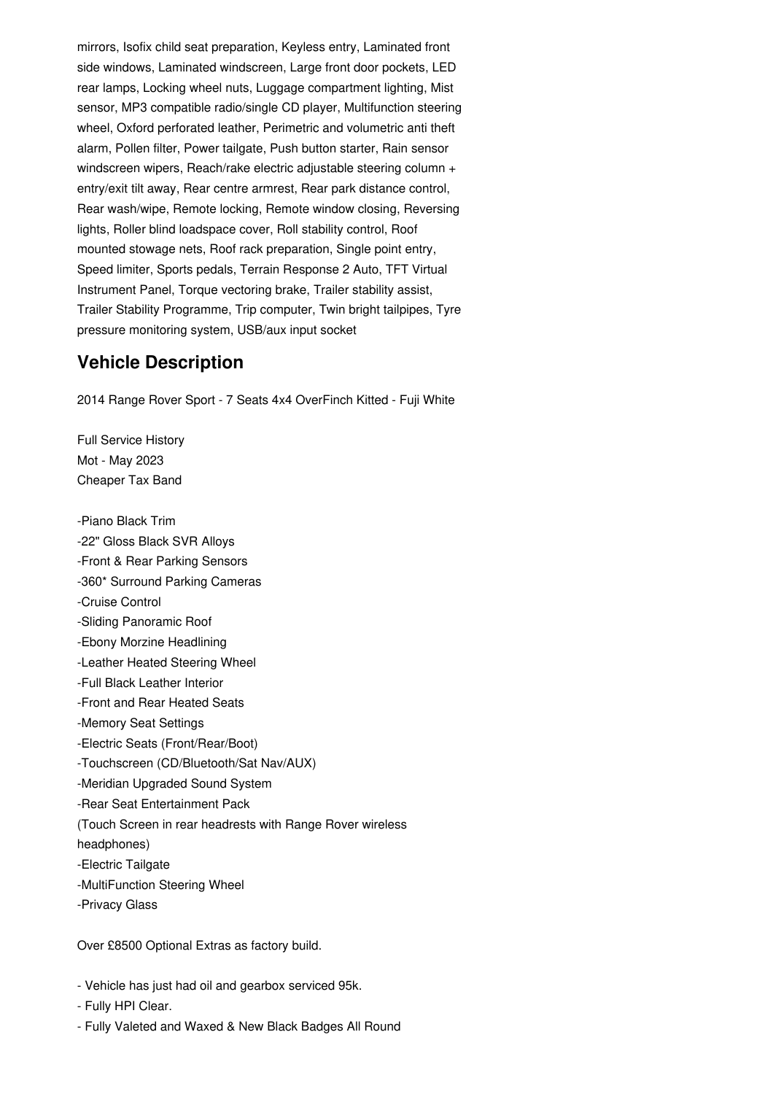mirrors, Isofix child seat preparation, Keyless entry, Laminated front side windows, Laminated windscreen, Large front door pockets, LED rear lamps, Locking wheel nuts, Luggage compartment lighting, Mist sensor, MP3 compatible radio/single CD player, Multifunction steering wheel, Oxford perforated leather, Perimetric and volumetric anti theft alarm, Pollen filter, Power tailgate, Push button starter, Rain sensor windscreen wipers, Reach/rake electric adjustable steering column + entry/exit tilt away, Rear centre armrest, Rear park distance control, Rear wash/wipe, Remote locking, Remote window closing, Reversing lights, Roller blind loadspace cover, Roll stability control, Roof mounted stowage nets, Roof rack preparation, Single point entry, Speed limiter, Sports pedals, Terrain Response 2 Auto, TFT Virtual Instrument Panel, Torque vectoring brake, Trailer stability assist, Trailer Stability Programme, Trip computer, Twin bright tailpipes, Tyre pressure monitoring system, USB/aux input socket

#### **Vehicle Description**

2014 Range Rover Sport - 7 Seats 4x4 OverFinch Kitted - Fuji White

Full Service History Mot - May 2023 Cheaper Tax Band

-Piano Black Trim -22" Gloss Black SVR Alloys -Front & Rear Parking Sensors -360\* Surround Parking Cameras -Cruise Control -Sliding Panoramic Roof -Ebony Morzine Headlining -Leather Heated Steering Wheel -Full Black Leather Interior -Front and Rear Heated Seats -Memory Seat Settings -Electric Seats (Front/Rear/Boot) -Touchscreen (CD/Bluetooth/Sat Nav/AUX) -Meridian Upgraded Sound System -Rear Seat Entertainment Pack (Touch Screen in rear headrests with Range Rover wireless headphones) -Electric Tailgate -MultiFunction Steering Wheel -Privacy Glass

Over £8500 Optional Extras as factory build.

- Vehicle has just had oil and gearbox serviced 95k.

- Fully HPI Clear.

- Fully Valeted and Waxed & New Black Badges All Round